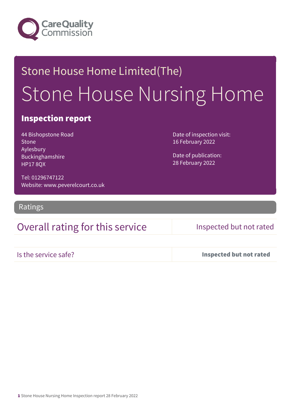

# Stone House Home Limited(The) Stone House Nursing Home

### Inspection report

44 Bishopstone Road Stone Aylesbury Buckinghamshire HP17 8QX

Date of inspection visit: 16 February 2022

Date of publication: 28 February 2022

Tel: 01296747122 Website: www.peverelcourt.co.uk

Ratings

## Overall rating for this service Inspected but not rated

Is the service safe? Inspected but not rated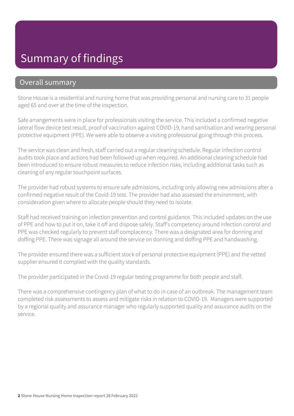## Summary of findings

### Overall summary

Stone House is a residential and nursing home that was providing personal and nursing care to 31 people aged 65 and over at the time of the inspection.

Safe arrangements were in place for professionals visiting the service. This included a confirmed negative lateral flow device test result, proof of vaccination against COVID-19, hand sanitisation and wearing personal protective equipment (PPE). We were able to observe a visiting professional going through this process.

The service was clean and fresh, staff carried out a regular cleaning schedule. Regular infection control audits took place and actions had been followed up when required. An additional cleaning schedule had been introduced to ensure robust measures to reduce infection risks, including additional tasks such as cleaning of any regular touchpoint surfaces.

The provider had robust systems to ensure safe admissions, including only allowing new admissions after a confirmed negative result of the Covid-19 test. The provider had also assessed the environment, with consideration given where to allocate people should they need to isolate.

Staff had received training on infection prevention and control guidance. This included updates on the use of PPE and how to put it on, take it off and dispose safely. Staff's competency around infection control and PPE was checked regularly to prevent staff complacency. There was a designated area for donning and doffing PPE. There was signage all around the service on donning and doffing PPE and handwashing.

The provider ensured there was a sufficient stock of personal protective equipment (PPE) and the vetted supplier ensured it complied with the quality standards.

The provider participated in the Covid-19 regular testing programme for both people and staff.

There was a comprehensive contingency plan of what to do in case of an outbreak. The management team completed risk assessments to assess and mitigate risks in relation to COVID-19. Managers were supported by a regional quality and assurance manager who regularly supported quality and assurance audits on the service.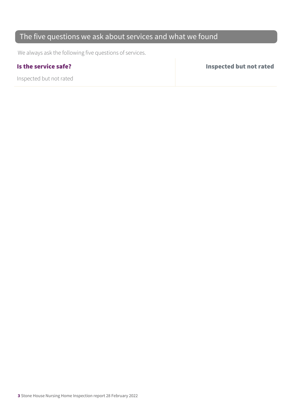### The five questions we ask about services and what we found

We always ask the following five questions of services.

Inspected but not rated

Is the service safe? Inspected but not rated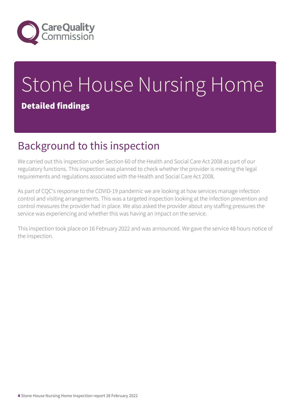

# Stone House Nursing Home Detailed findings

# Background to this inspection

We carried out this inspection under Section 60 of the Health and Social Care Act 2008 as part of our regulatory functions. This inspection was planned to check whether the provider is meeting the legal requirements and regulations associated with the Health and Social Care Act 2008.

As part of CQC's response to the COVID-19 pandemic we are looking at how services manage infection control and visiting arrangements. This was a targeted inspection looking at the infection prevention and control measures the provider had in place. We also asked the provider about any staffing pressures the service was experiencing and whether this was having an impact on the service.

This inspection took place on 16 February 2022 and was announced. We gave the service 48 hours notice of the inspection.